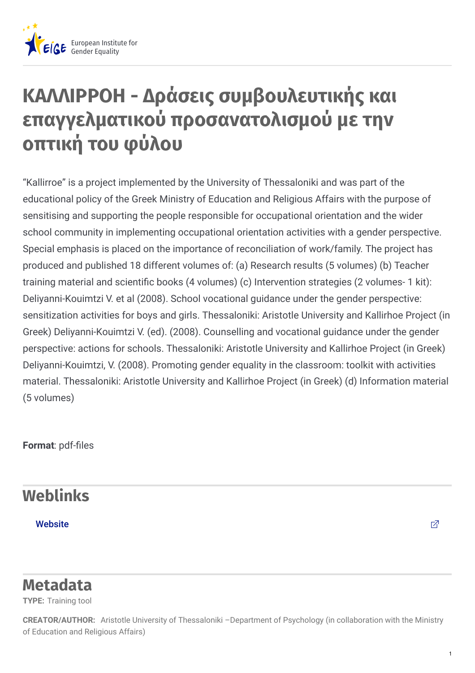

## **ΚΑΛΛΙΡΡΟΗ - Δράσεις συμβουλευτικής και επαγγελματικού προσανατολισμού με την οπτική του φύλου**

"Kallirroe" is a project implemented by the University of Thessaloniki and was part of the educational policy of the Greek Ministry of Education and Religious Affairs with the purpose of sensitising and supporting the people responsible for occupational orientation and the wider school community in implementing occupational orientation activities with a gender perspective. Special emphasis is placed on the importance of reconciliation of work/family. The project has produced and published 18 different volumes of: (a) Research results (5 volumes) (b) Teacher training material and scientific books (4 volumes) (c) Intervention strategies (2 volumes- 1 kit): Deliyanni-Kouimtzi V. et al (2008). School vocational guidance under the gender perspective: sensitization activities for boys and girls. Thessaloniki: Aristotle University and Kallirhoe Project (in Greek) Deliyanni-Kouimtzi V. (ed). (2008). Counselling and vocational guidance under the gender perspective: actions for schools. Thessaloniki: Aristotle University and Kallirhoe Project (in Greek) Deliyanni-Kouimtzi, V. (2008). Promoting gender equality in the classroom: toolkit with activities material. Thessaloniki: Aristotle University and Kallirhoe Project (in Greek) (d) Information material (5 volumes)

**Format: pdf-files** 

## **Weblinks**

[Website](http://www.e-yliko.gr/htmls/SEP/sep_kalliroi.aspx)  $\Box$ 

## **Metadata**

**TYPE:** Training tool

CREATOR/AUTHOR: Aristotle University of Thessaloniki -Department of Psychology (in collaboration with the Ministry of Education and Religious Affairs)